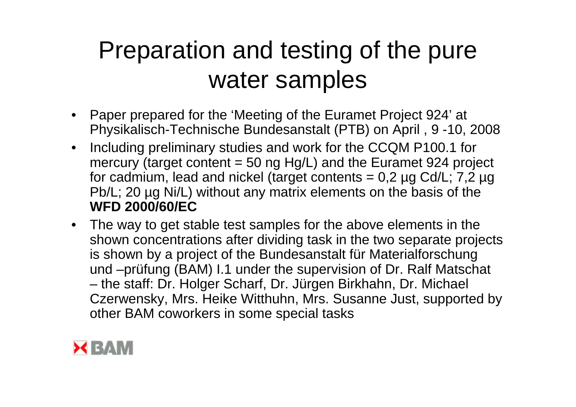## Preparation and testing of the pure water samples

- Paper prepared for the 'Meeting of the Euramet Project 924' at Physikalisch-Technische Bundesanstalt (PTB) on April , 9 -10, 2008
- Including preliminary studies and work for the CCQM P100.1 for mercury (target content  $= 50$  ng Hg/L) and the Euramet 924 project for cadmium, lead and nickel (target contents =  $0.2 \mu$ g Cd/L;  $7.2 \mu$ g Pb/L; 20 µg Ni/L) without any matrix elements on the basis of the **WFD 2000/60/EC**
- The way to get stable test samples for the above elements in the shown concentrations after dividing task in the two separate projects is shown by a project of the Bundesanstalt für Materialforschung und –prüfung (BAM) I.1 under the supervision of Dr. Ralf Matschat the staff: Dr. Holger Scharf, Dr. Jürgen Birkhahn, Dr. Michael Czerwensky, Mrs. Heike Witthuhn, Mrs. Susanne Just, supported by other BAM coworkers in some special tasks

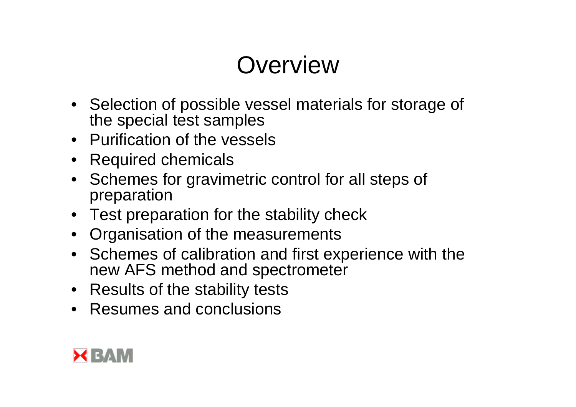## **Overview**

- Selection of possible vessel materials for storage of the special test samples
- Purification of the vessels
- Required chemicals
- Schemes for gravimetric control for all steps of preparation
- Test preparation for the stability check
- Organisation of the measurements
- Schemes of calibration and first experience with the new AFS method and spectrometer
- Results of the stability tests
- Resumes and conclusions

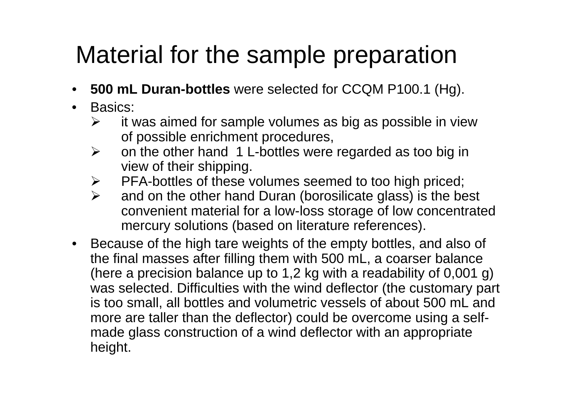## Material for the sample preparation

- **500 mL Duran-bottles** were selected for CCQM P100.1 (Hg).
- • Basics:
	- $\blacktriangleright$  it was aimed for sample volumes as big as possible in view of possible enrichment procedures,
	- $\blacktriangleright$  on the other hand 1 L-bottles were regarded as too big in view of their shipping.
	- ¾PFA-bottles of these volumes seemed to too high priced;
	- $\blacktriangleright$  and on the other hand Duran (borosilicate glass) is the best convenient material for a low-loss storage of low concentrated mercury solutions (based on literature references).
- $\bullet$  Because of the high tare weights of the empty bottles, and also of the final masses after filling them with 500 mL, a coarser balance (here a precision balance up to 1,2 kg with a readability of 0,001 g) was selected. Difficulties with the wind deflector (the customary part is too small, all bottles and volumetric vessels of about 500 mL and more are taller than the deflector) could be overcome using a selfmade glass construction of a wind deflector with an appropriate height.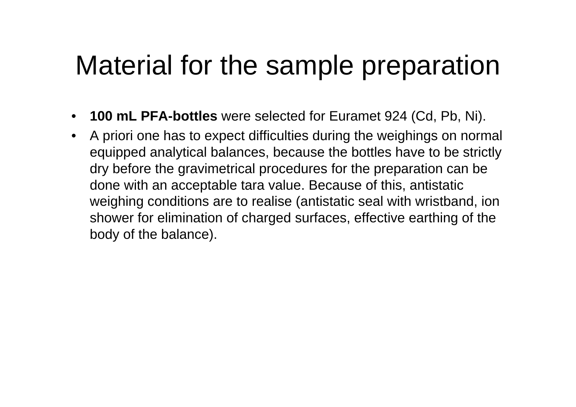# Material for the sample preparation

- $\bullet$ **100 mL PFA-bottles** were selected for Euramet 924 (Cd, Pb, Ni).
- $\bullet$  A priori one has to expect difficulties during the weighings on normal equipped analytical balances, because the bottles have to be strictly dry before the gravimetrical procedures for the preparation can be done with an acceptable tara value. Because of this, antistatic weighing conditions are to realise (antistatic seal with wristband, ion shower for elimination of charged surfaces, effective earthing of the body of the balance).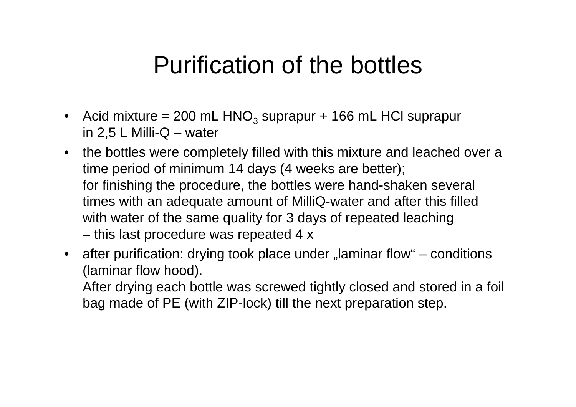### Purification of the bottles

- $\bullet$ Acid mixture = 200 mL  $HNO<sub>3</sub>$  suprapur + 166 mL HCl suprapur in  $2,5$  L Milli-Q – water
- $\bullet$  the bottles were completely filled with this mixture and leached over a time period of minimum 14 days (4 weeks are better); for finishing the procedure, the bottles were hand-shaken several times with an adequate amount of MilliQ-water and after this filled with water of the same quality for 3 days of repeated leaching this last procedure was repeated 4 x
- $\bullet$ after purification: drying took place under "laminar flow" – conditions (laminar flow hood).

After drying each bottle was screwed tightly closed and stored in a foil bag made of PE (with ZIP-lock) till the next preparation step.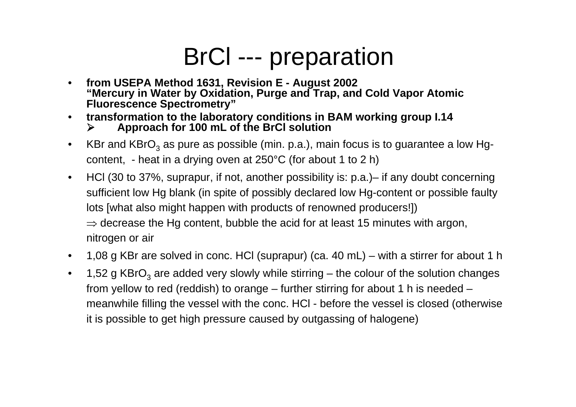## BrCl --- preparation

- • **from USEPA Method 1631, Revision E - August 2002 "Mercury in Water by Oxidation, Purge and Trap, and Cold Vapor Atomic Fluorescence Spectrometry"**
- $\bullet$  **transformation to the laboratory conditions in BAM working group I.14**  $\blacktriangleright$ **Approach for 100 mL of the BrCl solution**
- •KBr and KBrO $_3$  as pure as possible (min. p.a.), main focus is to guarantee a low Hgcontent, - heat in a drying oven at 250°C (for about 1 to 2 h)
- $\bullet$  HCl (30 to 37%, suprapur, if not, another possibility is: p.a.)– if any doubt concerning sufficient low Hg blank (in spite of possibly declared low Hg-content or possible faulty lots [what also might happen with products of renowned producers!])  $\Rightarrow$  decrease the Hg content, bubble the acid for at least 15 minutes with argon, nitrogen or air
- $\bullet$ 1,08 g KBr are solved in conc. HCl (suprapur) (ca. 40 mL) – with a stirrer for about 1 h
- •1,52 g KBrO<sub>3</sub> are added very slowly while stirring – the colour of the solution changes from yellow to red (reddish) to orange – further stirring for about 1 h is needed – meanwhile filling the vessel with the conc. HCl - before the vessel is closed (otherwise it is possible to get high pressure caused by outgassing of halogene)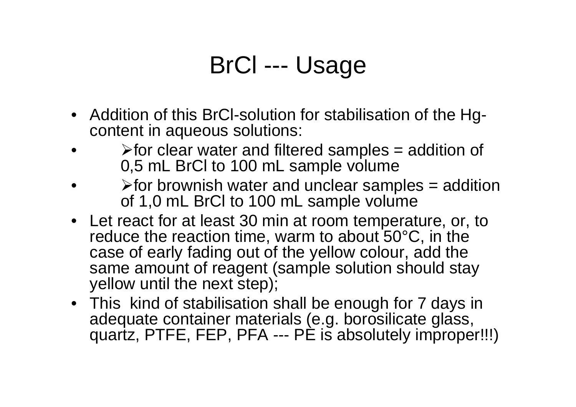## BrCl --- Usage

- Addition of this BrCl-solution for stabilisation of the Hgcontent in aqueous solutions:
- • $\triangleright$  for clear water and filtered samples = addition of 0,5 mL BrCl to 100 mL sample volume
- • $\triangleright$  for brownish water and unclear samples = addition of 1,0 mL BrCl to 100 mL sample volume
- Let react for at least 30 min at room temperature, or, to reduce the reaction time, warm to about 50°C, in the case of early fading out of the yellow colour, add the same amount of reagent (sample solution should stay yellow until the next step);
- This kind of stabilisation shall be enough for 7 days in adequate container materials (e.g. borosilicate glass, quartz, PTFE, FEP, PFA --- PE is absolutely improper!!!)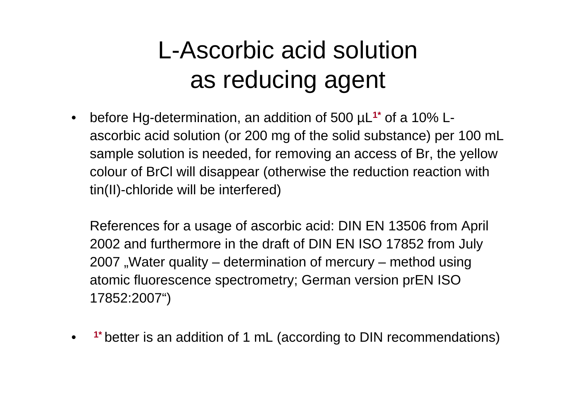## L-Ascorbic acid solutionas reducing agent

 $\bullet$  before Hg-determination, an addition of 500 µL**1\*** of a 10% Lascorbic acid solution (or 200 mg of the solid substance) per 100 mL sample solution is needed, for removing an access of Br, the yellow colour of BrCl will disappear (otherwise the reduction reaction with tin(II)-chloride will be interfered)

References for a usage of ascorbic acid: DIN EN 13506 from April 2002 and furthermore in the draft of DIN EN ISO 17852 from July 2007 , Water quality – determination of mercury – method using atomic fluorescence spectrometry; German version prEN ISO 17852:2007")

•**1\*** better is an addition of 1 mL (according to DIN recommendations)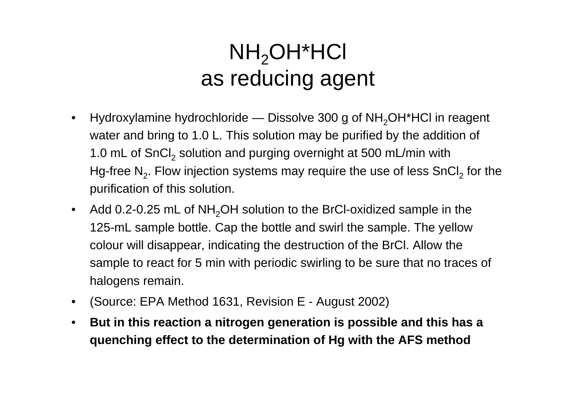### $NH<sub>2</sub>OH<sup>*</sup>HCI$ as reducing agent

- $\bullet$ Hydroxylamine hydrochloride — Dissolve 300 g of  $NH<sub>2</sub>OH<sup>*</sup>HC$  in reagent water and bring to 1.0 L. This solution may be purified by the addition of 1.0 mL of SnCl $_{\rm 2}$  solution and purging overnight at 500 mL/min with Hg-free N<sub>2</sub>. Flow injection systems may require the use of less SnCl<sub>2</sub> for the purification of this solution.
- $\bullet$ Add 0.2-0.25 mL of  $NH<sub>2</sub>OH$  solution to the BrCI-oxidized sample in the 125-mL sample bottle. Cap the bottle and swirl the sample. The yellow colour will disappear, indicating the destruction of the BrCl. Allow the sample to react for 5 min with periodic swirling to be sure that no traces of halogens remain.
- $\bullet$ (Source: EPA Method 1631, Revision E - August 2002)
- $\bullet$  **But in this reaction a nitrogen generation is possible and this has a quenching effect to the determination of Hg with the AFS method**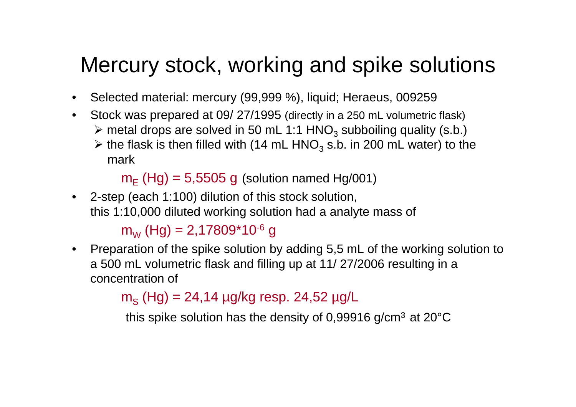### Mercury stock, working and spike solutions

- $\bullet$ Selected material: mercury (99,999 %), liquid; Heraeus, 009259
- • Stock was prepared at 09/ 27/1995 (directly in a 250 mL volumetric flask)  $\triangleright$  metal drops are solved in 50 mL 1:1 HNO<sub>3</sub> subboiling quality (s.b.)
	- $\triangleright$  the flask is then filled with (14 mL HNO<sub>3</sub> s.b. in 200 mL water) to the mark

 $\mathsf{m}_\mathsf{E}$  (Hg) = 5,5505 g (solution named Hg/001)

• 2-step (each 1:100) dilution of this stock solution, this 1:10,000 diluted working solution had a analyte mass of

### m<sub>w</sub> (Hg) = 2,17809\*10<sup>-6</sup> g

 $\bullet$  Preparation of the spike solution by adding 5,5 mL of the working solution to a 500 mL volumetric flask and filling up at 11/ 27/2006 resulting in a concentration of

### m<sub>s</sub> (Hg) = 24,14 μg/kg resp. 24,52 μg/L

this spike solution has the density of 0,99916 g/cm $^3$  at 20°C  $\,$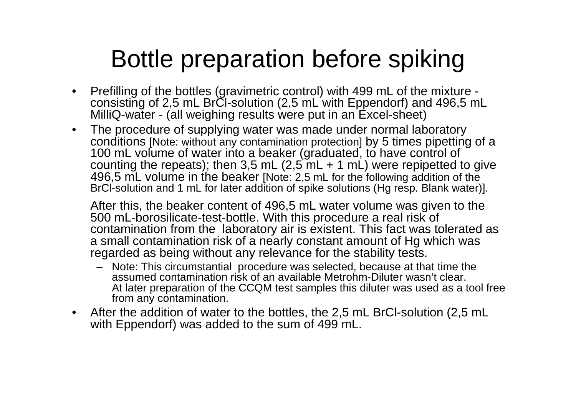## Bottle preparation before spiking

- $\bullet$  Prefilling of the bottles (gravimetric control) with 499 mL of the mixture consisting of 2,5 mL BrCI-solution (2,5 mL with Eppendorf) and 496,5 mL MilliQ-water - (all weighing results were put in an Excel-sheet)
- $\bullet$  The procedure of supplying water was made under normal laboratory conditions [Note: without any contamination protection] by 5 times pipetting of a 100 mL volume of water into a beaker (graduated, to have control of counting the repeats); then 3,5 mL  $(2,5$  mL  $+$  1 mL) were repipetted to give 496,5 mL volume in the beaker [Note: 2,5 mL for the following addition of the BrCl-solution and 1 mL for later addition of spike solutions (Hg resp. Blank water)].

After this, the beaker content of 496,5 mL water volume was given to the 500 mL-borosilicate-test-bottle. With this procedure a real risk of contamination from the laboratory air is existent. This fact was tolerated as a small contamination risk of a nearly constant amount of Hg which was regarded as being without any relevance for the stability tests.

- Note: This circumstantial procedure was selected, because at that time the assumed contamination risk of an available Metrohm-Diluter wasn't clear.At later preparation of the CCQM test samples this diluter was used as a tool free from any contamination.
- $\bullet$  After the addition of water to the bottles, the 2,5 mL BrCl-solution (2,5 mL with Eppendorf) was added to the sum of 499 mL.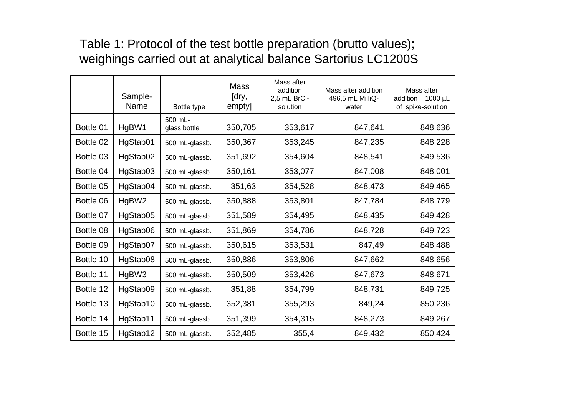### Table 1: Protocol of the test bottle preparation (brutto values); weighings carried out at analytical balance Sartorius LC1200S

|           | Sample-<br>Name | Bottle type             | <b>Mass</b><br>[dry,<br>empty] | Mass after<br>addition<br>2,5 mL BrCl-<br>solution | Mass after addition<br>496,5 mL MilliQ-<br>water | Mass after<br>addition<br>$1000 \mu L$<br>of spike-solution |
|-----------|-----------------|-------------------------|--------------------------------|----------------------------------------------------|--------------------------------------------------|-------------------------------------------------------------|
| Bottle 01 | HgBW1           | 500 mL-<br>glass bottle | 350,705                        | 353,617                                            | 847,641                                          | 848,636                                                     |
| Bottle 02 | HgStab01        | 500 mL-glassb.          | 350,367                        | 353,245                                            | 847,235                                          | 848,228                                                     |
| Bottle 03 | HgStab02        | 500 mL-glassb.          | 351,692                        | 354,604                                            | 848,541                                          | 849,536                                                     |
| Bottle 04 | HgStab03        | 500 mL-glassb.          | 350,161                        | 353,077                                            | 847,008                                          | 848,001                                                     |
| Bottle 05 | HgStab04        | 500 mL-glassb.          | 351,63                         | 354,528                                            | 848,473                                          | 849,465                                                     |
| Bottle 06 | HgBW2           | 500 mL-glassb.          | 350,888                        | 353,801                                            | 847,784                                          | 848,779                                                     |
| Bottle 07 | HgStab05        | 500 mL-glassb.          | 351,589                        | 354,495                                            | 848,435                                          | 849,428                                                     |
| Bottle 08 | HgStab06        | 500 mL-glassb.          | 351,869                        | 354,786                                            | 848,728                                          | 849,723                                                     |
| Bottle 09 | HgStab07        | 500 mL-glassb.          | 350,615                        | 353,531                                            | 847,49                                           | 848,488                                                     |
| Bottle 10 | HgStab08        | 500 mL-glassb.          | 350,886                        | 353,806                                            | 847,662                                          | 848,656                                                     |
| Bottle 11 | HgBW3           | 500 mL-glassb.          | 350,509                        | 353,426                                            | 847,673                                          | 848,671                                                     |
| Bottle 12 | HgStab09        | 500 mL-glassb.          | 351,88                         | 354,799                                            | 848,731                                          | 849,725                                                     |
| Bottle 13 | HgStab10        | 500 mL-glassb.          | 352,381                        | 355,293                                            | 849,24                                           | 850,236                                                     |
| Bottle 14 | HgStab11        | 500 mL-glassb.          | 351,399                        | 354,315                                            | 848,273                                          | 849,267                                                     |
| Bottle 15 | HgStab12        | 500 mL-glassb.          | 352,485                        | 355,4                                              | 849,432                                          | 850,424                                                     |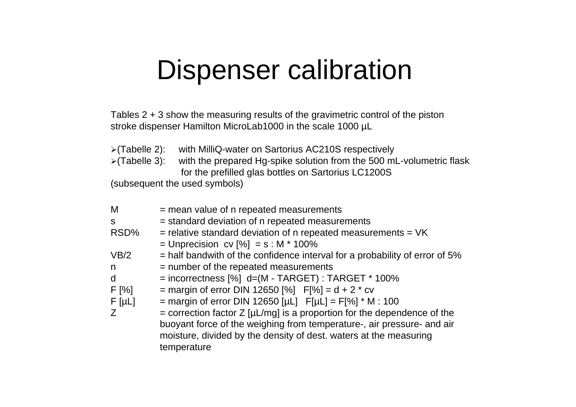## Dispenser calibration

Tables 2 + 3 show the measuring results of the gravimetric control of the piston stroke dispenser Hamilton MicroLab1000 in the scale 1000 µL

- <sup>¾</sup>(Tabelle 2): with MilliQ-water on Sartorius AC210S respectively
- <sup>¾</sup>(Tabelle 3): with the prepared Hg-spike solution from the 500 mL-volumetric flask for the prefilled glas bottles on Sartorius LC1200S

(subsequent the used symbols)

| = mean value of n repeated measurements                                         |
|---------------------------------------------------------------------------------|
| = standard deviation of n repeated measurements                                 |
| $=$ relative standard deviation of n repeated measurements $=$ VK               |
| = Unprecision cv $[%]$ = s : M * 100%                                           |
| $=$ half bandwith of the confidence interval for a probability of error of 5%   |
| = number of the repeated measurements                                           |
| $=$ incorrectness [%] d=(M - TARGET) : TARGET * 100%                            |
| = margin of error DIN 12650 [%] $F[%] = d + 2 * cv$                             |
| = margin of error DIN 12650 [µL] $F[µL] = F[%]' * M : 100$                      |
| = correction factor $Z$ [ $\mu$ L/mg] is a proportion for the dependence of the |
| buoyant force of the weighing from temperature-, air pressure- and air          |
| moisture, divided by the density of dest. waters at the measuring               |
| temperature                                                                     |
|                                                                                 |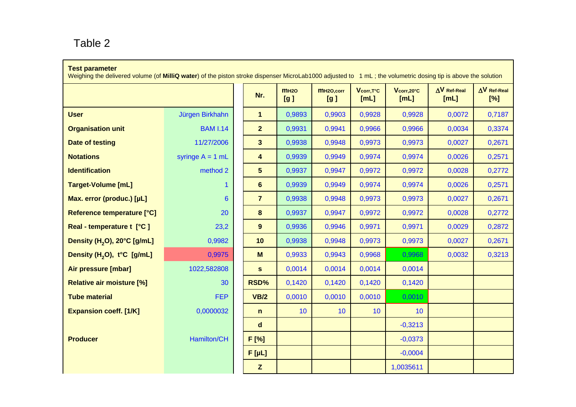#### Table 2

#### **Test parameter**

Weighing the delivered volume (of **MilliQ water**) of the piston stroke dispenser MicroLab1000 adjusted to 1 mL ; the volumetric dosing tip is above the solution

|                                         |                    | Nr.                  | mH2O<br>[g] | MH <sub>20,corr</sub><br>[g] | V <sub>corr, T°C</sub><br>[ML] | Vcorr,20°C<br>[ML] | $\Delta V$ Ref-Real<br>[ML] | $\Delta V$ Ref-Real<br>[%] |
|-----------------------------------------|--------------------|----------------------|-------------|------------------------------|--------------------------------|--------------------|-----------------------------|----------------------------|
| <b>User</b>                             | Jürgen Birkhahn    | $\blacktriangleleft$ | 0,9893      | 0,9903                       | 0,9928                         | 0,9928             | 0,0072                      | 0,7187                     |
| <b>Organisation unit</b>                | <b>BAM I.14</b>    | $\overline{2}$       | 0,9931      | 0,9941                       | 0,9966                         | 0,9966             | 0,0034                      | 0,3374                     |
| Date of testing                         | 11/27/2006         | 3 <sup>5</sup>       | 0,9938      | 0,9948                       | 0,9973                         | 0,9973             | 0,0027                      | 0,2671                     |
| <b>Notations</b>                        | syringe $A = 1$ mL | 4                    | 0,9939      | 0,9949                       | 0,9974                         | 0,9974             | 0,0026                      | 0,2571                     |
| <b>Identification</b>                   | method 2           | $5\phantom{.}$       | 0,9937      | 0,9947                       | 0,9972                         | 0,9972             | 0,0028                      | 0,2772                     |
| <b>Target-Volume [mL]</b>               | $\mathbf 1$        | $6\phantom{1}$       | 0,9939      | 0,9949                       | 0,9974                         | 0,9974             | 0,0026                      | 0,2571                     |
| Max. error (produc.) [µL]               | $6\phantom{1}$     | $\overline{7}$       | 0,9938      | 0,9948                       | 0,9973                         | 0,9973             | 0,0027                      | 0,2671                     |
| Reference temperature [°C]              | 20                 | 8                    | 0,9937      | 0,9947                       | 0,9972                         | 0,9972             | 0,0028                      | 0,2772                     |
| Real - temperature t [°C]               | 23,2               | 9                    | 0,9936      | 0,9946                       | 0,9971                         | 0,9971             | 0,0029                      | 0,2872                     |
| Density (H <sub>2</sub> O), 20°C [g/mL] | 0,9982             | 10                   | 0,9938      | 0,9948                       | 0,9973                         | 0,9973             | 0,0027                      | 0,2671                     |
| Density (H <sub>2</sub> O), t°C [g/mL]  | 0,9975             | M                    | 0,9933      | 0,9943                       | 0,9968                         | 0,9968             | 0,0032                      | 0,3213                     |
| Air pressure [mbar]                     | 1022,582808        | $\mathbf{s}$         | 0,0014      | 0,0014                       | 0,0014                         | 0,0014             |                             |                            |
| <b>Relative air moisture [%]</b>        | 30                 | RSD%                 | 0,1420      | 0,1420                       | 0,1420                         | 0,1420             |                             |                            |
| <b>Tube material</b>                    | <b>FEP</b>         | <b>VB/2</b>          | 0,0010      | 0,0010                       | 0,0010                         | 0,0010             |                             |                            |
| <b>Expansion coeff. [1/K]</b>           | 0,0000032          | $\mathbf n$          | 10          | 10                           | 10 <sup>°</sup>                | 10                 |                             |                            |
|                                         |                    | d                    |             |                              |                                | $-0,3213$          |                             |                            |
| <b>Producer</b>                         | Hamilton/CH        | F [%]                |             |                              |                                | $-0,0373$          |                             |                            |
|                                         |                    | $F[\mu L]$           |             |                              |                                | $-0,0004$          |                             |                            |
|                                         |                    | $\mathbf{Z}$         |             |                              |                                | 1,0035611          |                             |                            |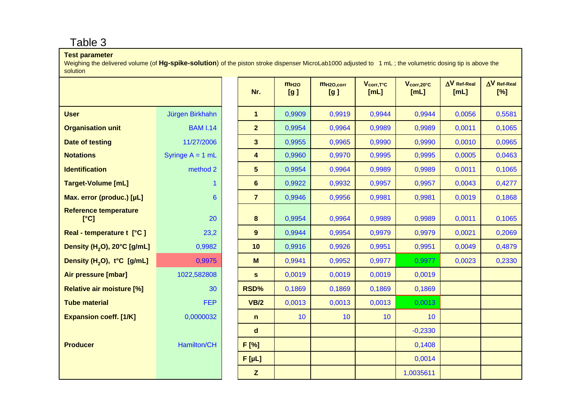#### Table 3

#### **Test parameter**

Weighing the delivered volume (of Hg-spike-solution) of the piston stroke dispenser MicroLab1000 adjusted to 1 mL; the volumetric dosing tip is above the solution

|                                         |                    | Nr.                     | m <sub>H2O</sub><br>[g] | MH <sub>20,corr</sub><br>[g] | Vcorr, T°C<br>[mL] | $V_{\rm corr, 20^{\circ}C}$<br>[ML] | $\Delta V$ Ref-Real<br>[ML] | $\Delta V$ Ref-Real<br>[%] |
|-----------------------------------------|--------------------|-------------------------|-------------------------|------------------------------|--------------------|-------------------------------------|-----------------------------|----------------------------|
| <b>User</b>                             | Jürgen Birkhahn    | $\mathbf 1$             | 0,9909                  | 0,9919                       | 0,9944             | 0,9944                              | 0,0056                      | 0,5581                     |
| <b>Organisation unit</b>                | <b>BAM I.14</b>    | 2 <sup>1</sup>          | 0,9954                  | 0,9964                       | 0,9989             | 0,9989                              | 0,0011                      | 0,1065                     |
| <b>Date of testing</b>                  | 11/27/2006         | 3 <sup>1</sup>          | 0,9955                  | 0,9965                       | 0,9990             | 0,9990                              | 0,0010                      | 0,0965                     |
| <b>Notations</b>                        | Syringe $A = 1$ mL | $\overline{\mathbf{4}}$ | 0,9960                  | 0,9970                       | 0,9995             | 0,9995                              | 0,0005                      | 0,0463                     |
| <b>Identification</b>                   | method 2           | 5                       | 0,9954                  | 0,9964                       | 0,9989             | 0,9989                              | 0,0011                      | 0,1065                     |
| <b>Target-Volume [mL]</b>               | $\mathbf{1}$       | $6\phantom{1}$          | 0,9922                  | 0,9932                       | 0,9957             | 0,9957                              | 0,0043                      | 0,4277                     |
| Max. error (produc.) [µL]               | $6\phantom{1}6$    | $\overline{7}$          | 0,9946                  | 0,9956                       | 0,9981             | 0,9981                              | 0,0019                      | 0,1868                     |
| <b>Reference temperature</b><br>[°C]    | 20                 | 8                       | 0,9954                  | 0,9964                       | 0,9989             | 0,9989                              | 0,0011                      | 0,1065                     |
| Real - temperature t [°C]               | 23,2               | 9                       | 0,9944                  | 0,9954                       | 0,9979             | 0,9979                              | 0,0021                      | 0,2069                     |
| Density (H <sub>2</sub> O), 20°C [g/mL] | 0,9982             | 10                      | 0,9916                  | 0,9926                       | 0,9951             | 0,9951                              | 0,0049                      | 0,4879                     |
| Density (H <sub>2</sub> O), t°C [g/mL]  | 0,9975             | M                       | 0,9941                  | 0,9952                       | 0,9977             | 0,9977                              | 0,0023                      | 0,2330                     |
| Air pressure [mbar]                     | 1022,582808        | $\mathbf{s}$            | 0,0019                  | 0,0019                       | 0,0019             | 0,0019                              |                             |                            |
| <b>Relative air moisture [%]</b>        | 30                 | RSD%                    | 0,1869                  | 0,1869                       | 0,1869             | 0,1869                              |                             |                            |
| <b>Tube material</b>                    | <b>FEP</b>         | VB/2                    | 0,0013                  | 0,0013                       | 0,0013             | 0,0013                              |                             |                            |
| <b>Expansion coeff. [1/K]</b>           | 0,0000032          | $\mathbf n$             | 10                      | 10                           | 10 <sup>°</sup>    | 10                                  |                             |                            |
|                                         |                    | $\mathbf d$             |                         |                              |                    | $-0,2330$                           |                             |                            |
| <b>Producer</b>                         | Hamilton/CH        | F [%]                   |                         |                              |                    | 0,1408                              |                             |                            |
|                                         |                    | $F[\mu L]$              |                         |                              |                    | 0,0014                              |                             |                            |
|                                         |                    | $\mathbf{Z}$            |                         |                              |                    | 1,0035611                           |                             |                            |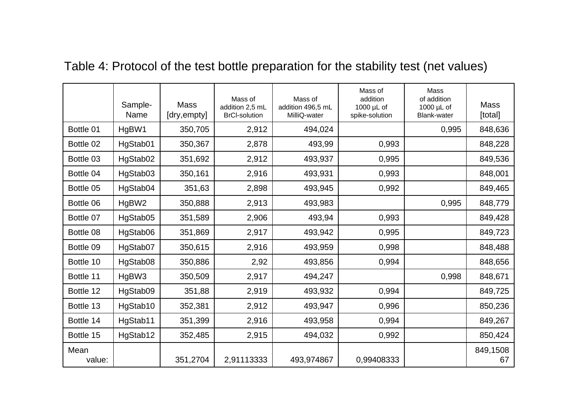|                | Sample-<br>Name | <b>Mass</b><br>[dry,empty] | Mass of<br>addition 2,5 mL<br><b>BrCI-solution</b> | Mass of<br>addition 496,5 mL<br>MilliQ-water | Mass of<br>addition<br>1000 µL of<br>spike-solution | Mass<br>of addition<br>1000 µL of<br><b>Blank-water</b> | <b>Mass</b><br>[total] |
|----------------|-----------------|----------------------------|----------------------------------------------------|----------------------------------------------|-----------------------------------------------------|---------------------------------------------------------|------------------------|
| Bottle 01      | HgBW1           | 350,705                    | 2,912                                              | 494,024                                      |                                                     | 0,995                                                   | 848,636                |
| Bottle 02      | HgStab01        | 350,367                    | 2,878                                              | 493,99                                       | 0,993                                               |                                                         | 848,228                |
| Bottle 03      | HgStab02        | 351,692                    | 2,912                                              | 493,937                                      | 0,995                                               |                                                         | 849,536                |
| Bottle 04      | HgStab03        | 350,161                    | 2,916                                              | 493,931                                      | 0,993                                               |                                                         | 848,001                |
| Bottle 05      | HgStab04        | 351,63                     | 2,898                                              | 493,945                                      | 0,992                                               |                                                         | 849,465                |
| Bottle 06      | HgBW2           | 350,888                    | 2,913                                              | 493,983                                      |                                                     | 0,995                                                   | 848,779                |
| Bottle 07      | HgStab05        | 351,589                    | 2,906                                              | 493,94                                       | 0,993                                               |                                                         | 849,428                |
| Bottle 08      | HgStab06        | 351,869                    | 2,917                                              | 493,942                                      | 0,995                                               |                                                         | 849,723                |
| Bottle 09      | HgStab07        | 350,615                    | 2,916                                              | 493,959                                      | 0,998                                               |                                                         | 848,488                |
| Bottle 10      | HgStab08        | 350,886                    | 2,92                                               | 493,856                                      | 0,994                                               |                                                         | 848,656                |
| Bottle 11      | HgBW3           | 350,509                    | 2,917                                              | 494,247                                      |                                                     | 0,998                                                   | 848,671                |
| Bottle 12      | HgStab09        | 351,88                     | 2,919                                              | 493,932                                      | 0,994                                               |                                                         | 849,725                |
| Bottle 13      | HgStab10        | 352,381                    | 2,912                                              | 493,947                                      | 0,996                                               |                                                         | 850,236                |
| Bottle 14      | HgStab11        | 351,399                    | 2,916                                              | 493,958                                      | 0,994                                               |                                                         | 849,267                |
| Bottle 15      | HgStab12        | 352,485                    | 2,915                                              | 494,032                                      | 0,992                                               |                                                         | 850,424                |
| Mean<br>value: |                 | 351,2704                   | 2,91113333                                         | 493,974867                                   | 0,99408333                                          |                                                         | 849,1508<br>67         |

### Table 4: Protocol of the test bottle preparation for the stability test (net values)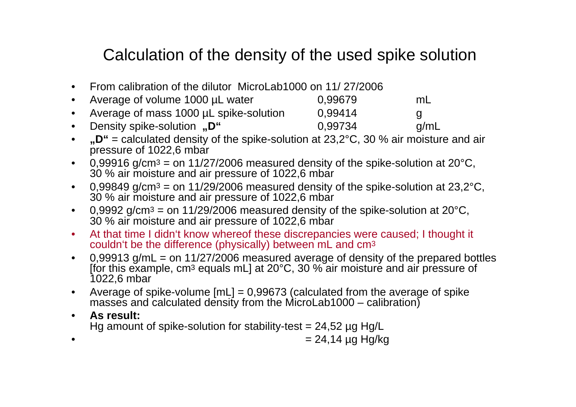### Calculation of the density of the used spike solution

- $\bullet$ From calibration of the dilutor MicroLab1000 on 11/ 27/2006
- $\bullet$ Average of volume 1000 µL water  $0.99679$  mL
- $\bullet$ Average of mass 1000 µL spike-solution 0,99414 g  $\bullet$ Density spike-solution **"D"** 0.99734 g/mL
- $\bullet$  **"D"** = calculated density of the spike-solution at 23,2°C, 30 % air moisture and air pressure of 1022,6 mbar
- $\bullet$ 0,99916 g/cm<sup>3</sup> = on 11/27/2006 measured density of the spike-solution at 20 $^{\circ}$ C, 30 % air moisture and air pressure of 1022,6 mbar
- $\bullet$ 0,99849 g/cm<sup>3</sup> = on 11/29/2006 measured density of the spike-solution at 23,2 $^{\circ}$ C, 30 % air moisture and air pressure of 1022,6 mbar
- $\bullet$ 0,9992 g/cm<sup>3</sup> = on 11/29/2006 measured density of the spike-solution at 20 $^{\circ}$ C, 30 % air moisture and air pressure of 1022,6 mbar
- $\bullet$  At that time I didn't know whereof these discrepancies were caused; I thought it couldn't be the difference (physically) between mL and  $\mathsf{cm}^{3}$
- $\bullet$ 0,99913  $q/mL = on 11/27/2006$  measured average of density of the prepared bottles [for this example, cm<sup>3</sup> equals mL] at 20°C, 30 % air moisture and air pressure of 1022,6 mbar
- • Average of spike-volume [mL] = 0,99673 (calculated from the average of spike masses and calculated density from the MicroLab1000 – calibration)
- $\bullet$  **As result:** Hg amount of spike-solution for stability-test  $= 24,52$  µg Hg/L
- • $= 24,14$  µg Hg/kg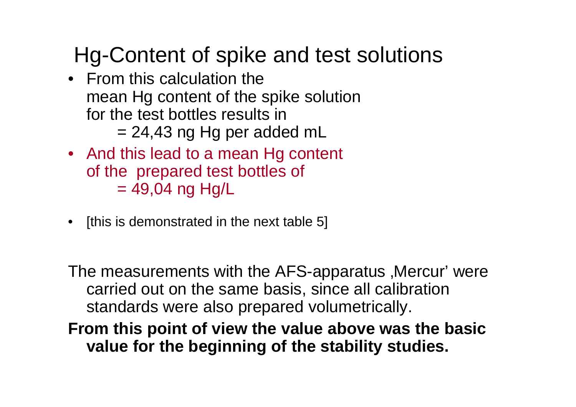### Hg-Content of spike and test solutions

- From this calculation the mean Hg content of the spike solution for the test bottles results in $= 24,43$  ng Hg per added mL
- And this lead to a mean Hg content of the prepared test bottles of  $= 49,04$  ng Hg/L
- [this is demonstrated in the next table 5]

The measurements with the AFS-apparatus , Mercur' were carried out on the same basis, since all calibration standards were also prepared volumetrically.

**From this point of view the value above was the basic value for the beginning of the stability studies.**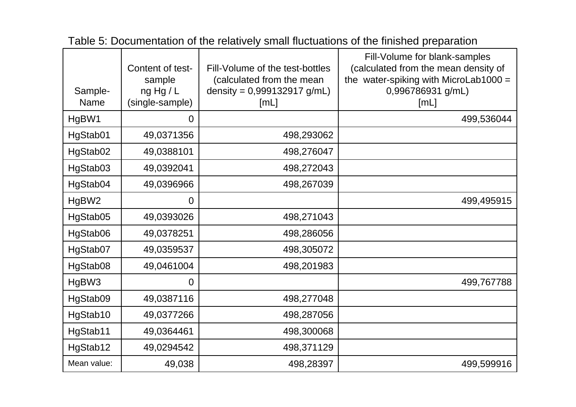| Sample-<br><b>Name</b> | Content of test-<br>sample<br>ng Hg/L<br>(single-sample) | Fill-Volume of the test-bottles<br>(calculated from the mean<br>density = $0,999132917$ g/mL)<br>[ML] | Fill-Volume for blank-samples<br>(calculated from the mean density of<br>the water-spiking with MicroLab1000 =<br>0,996786931 g/mL)<br>[ML] |
|------------------------|----------------------------------------------------------|-------------------------------------------------------------------------------------------------------|---------------------------------------------------------------------------------------------------------------------------------------------|
| HgBW1                  | 0                                                        |                                                                                                       | 499,536044                                                                                                                                  |
| HgStab01               | 49,0371356                                               | 498,293062                                                                                            |                                                                                                                                             |
| HgStab02               | 49,0388101                                               | 498,276047                                                                                            |                                                                                                                                             |
| HgStab03               | 49,0392041                                               | 498,272043                                                                                            |                                                                                                                                             |
| HgStab04               | 49,0396966                                               | 498,267039                                                                                            |                                                                                                                                             |
| HgBW2                  | 0                                                        |                                                                                                       | 499,495915                                                                                                                                  |
| HgStab05               | 49,0393026                                               | 498,271043                                                                                            |                                                                                                                                             |
| HgStab06               | 49,0378251                                               | 498,286056                                                                                            |                                                                                                                                             |
| HgStab07               | 49,0359537                                               | 498,305072                                                                                            |                                                                                                                                             |
| HgStab08               | 49,0461004                                               | 498,201983                                                                                            |                                                                                                                                             |
| HgBW3                  | 0                                                        |                                                                                                       | 499,767788                                                                                                                                  |
| HgStab09               | 49,0387116                                               | 498,277048                                                                                            |                                                                                                                                             |
| HgStab10               | 49,0377266                                               | 498,287056                                                                                            |                                                                                                                                             |
| HgStab11               | 49,0364461                                               | 498,300068                                                                                            |                                                                                                                                             |
| HgStab12               | 49,0294542                                               | 498,371129                                                                                            |                                                                                                                                             |
| Mean value:            | 49,038                                                   | 498,28397                                                                                             | 499,599916                                                                                                                                  |

Table 5: Documentation of the relatively small fluctuations of the finished preparation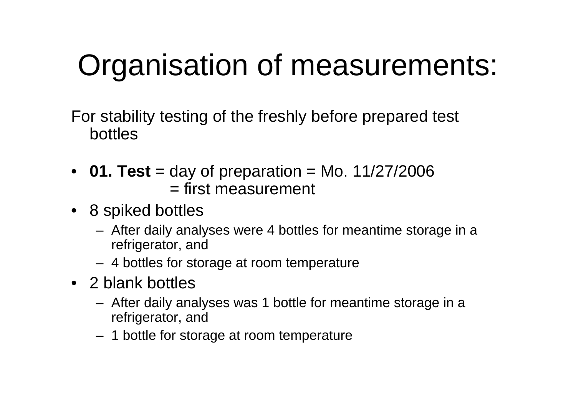# Organisation of measurements:

For stability testing of the freshly before prepared test bottles

- •**01. Test** = day of preparation = Mo.  $11/27/2006$ = first measurement
- 8 spiked bottles
	- After daily analyses were 4 bottles for meantime storage in a refrigerator, and
	- 4 bottles for storage at room temperature
- 2 blank bottles
	- After daily analyses was 1 bottle for meantime storage in a refrigerator, and
	- 1 bottle for storage at room temperature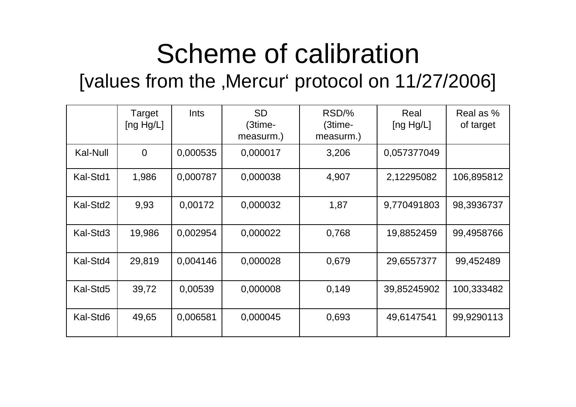# Scheme of calibration

### [values from the , Mercur' protocol on 11/27/2006]

|          | Target<br>[ng $Hg/L$ ] | <b>Ints</b> | <b>SD</b><br>(3time-<br>measurm.) | RSD/%<br>(3time-<br>measurm.) | Real<br>[ng $Hg/L$ ] | Real as %<br>of target |
|----------|------------------------|-------------|-----------------------------------|-------------------------------|----------------------|------------------------|
| Kal-Null | $\overline{0}$         | 0,000535    | 0,000017                          | 3,206                         | 0,057377049          |                        |
| Kal-Std1 | 1,986                  | 0,000787    | 0,000038                          | 4,907                         | 2,12295082           | 106,895812             |
| Kal-Std2 | 9,93                   | 0,00172     | 0,000032                          | 1,87                          | 9,770491803          | 98,3936737             |
| Kal-Std3 | 19,986                 | 0,002954    | 0,000022                          | 0,768                         | 19,8852459           | 99,4958766             |
| Kal-Std4 | 29,819                 | 0,004146    | 0,000028                          | 0,679                         | 29,6557377           | 99,452489              |
| Kal-Std5 | 39,72                  | 0,00539     | 0,000008                          | 0,149                         | 39,85245902          | 100,333482             |
| Kal-Std6 | 49,65                  | 0,006581    | 0,000045                          | 0,693                         | 49,6147541           | 99,9290113             |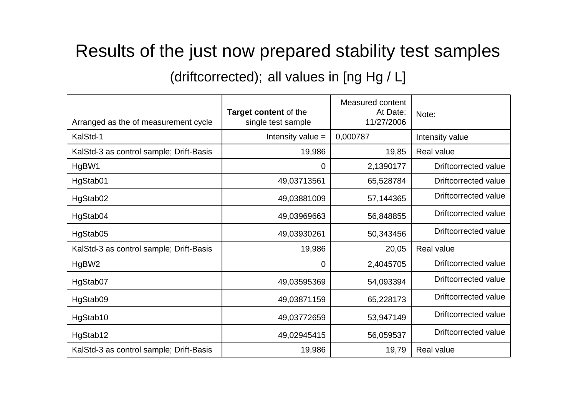### Results of the just now prepared stability test samples

(driftcorrected); all values in [ng Hg / L]

| Arranged as the of measurement cycle    | <b>Target content of the</b><br>single test sample | Measured content<br>At Date:<br>11/27/2006 | Note:                       |  |
|-----------------------------------------|----------------------------------------------------|--------------------------------------------|-----------------------------|--|
| KalStd-1                                | Intensity value =                                  | 0,000787                                   | Intensity value             |  |
| KalStd-3 as control sample; Drift-Basis | 19,986                                             | 19,85                                      | <b>Real value</b>           |  |
| HgBW1                                   | 0                                                  | 2,1390177                                  | <b>Driftcorrected value</b> |  |
| HgStab01                                | 49,03713561                                        | 65,528784                                  | Driftcorrected value        |  |
| HgStab02                                | 49,03881009                                        | 57,144365                                  | Driftcorrected value        |  |
| HgStab04                                | 49,03969663                                        | 56,848855                                  | Driftcorrected value        |  |
| HgStab05                                | 49,03930261                                        | 50,343456                                  | Driftcorrected value        |  |
| KalStd-3 as control sample; Drift-Basis | 19,986                                             | 20,05                                      | Real value                  |  |
| HgBW2                                   | 0                                                  | 2,4045705                                  | <b>Driftcorrected value</b> |  |
| HgStab07                                | 49,03595369                                        | 54,093394                                  | Driftcorrected value        |  |
| HgStab09                                | 49,03871159                                        | 65,228173                                  | Driftcorrected value        |  |
| HgStab10                                | 49,03772659                                        | 53,947149                                  | Driftcorrected value        |  |
| HgStab12                                | 49,02945415                                        | 56,059537                                  | <b>Driftcorrected value</b> |  |
| KalStd-3 as control sample; Drift-Basis | 19,986                                             | 19,79                                      | <b>Real value</b>           |  |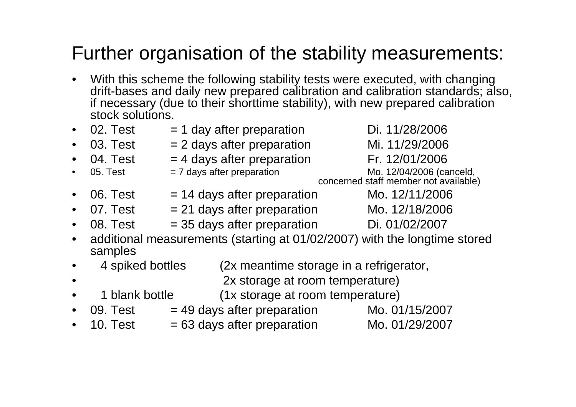### Further organisation of the stability measurements:

- • With this scheme the following stability tests were executed, with changing drift-bases and daily new prepared calibration and calibration standards; also, if necessary (due to their shorttime stability), with new prepared calibration stock solutions.
- •02. Test  $= 1$  day after preparation Di. 11/28/2006 •03. Test  $= 2$  days after preparation Mi. 11/29/2006 •04. Test  $= 4$  days after preparation Fr. 12/01/2006 •05. Test  $= 7$  days after preparation  $\blacksquare$  Mo. 12/04/2006 (canceld, concerned staff member not available) •06. Test  $= 14$  days after preparation Mo.  $12/11/2006$ •07. Test  $= 21$  days after preparation Mo. 12/18/2006 •08. Test  $= 35$  days after preparation Di. 01/02/2007 • additional measurements (starting at 01/02/2007) with the longtime stored samples
- • 4 spiked bottles (2x meantime storage in a refrigerator,
	- 2x storage at room temperature)
- •1 blank bottle (1x storage at room temperature)

•

- •09. Test  $= 49$  days after preparation  $M_0$ . 01/15/2007
- •10. Test  $= 63$  days after preparation  $\mu$  Mo. 01/29/2007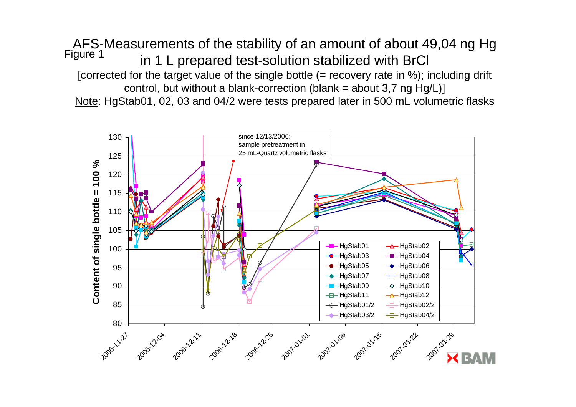AFS-Measurements of the stability of an amount of about 49,04 ng Hg in 1 L prepared test-solution stabilized with BrCl [corrected for the target value of the single bottle (= recovery rate in %); including drift control, but without a blank-correction (blank = about 3,7 ng Hg/L)] Note: HgStab01, 02, 03 and 04/2 were tests prepared later in 500 mL volumetric flasks Figure 1

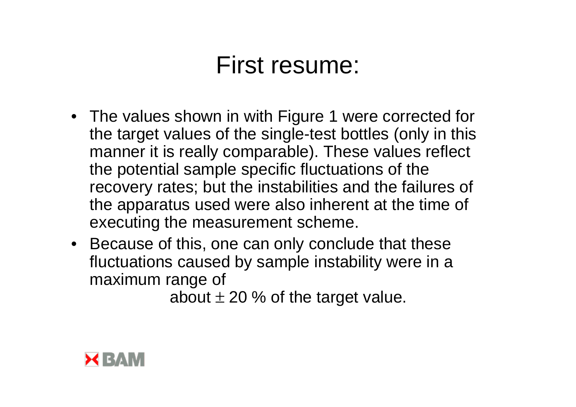## First resume:

- The values shown in with Figure 1 were corrected for the target values of the single-test bottles (only in this manner it is really comparable). These values reflect the potential sample specific fluctuations of the recovery rates; but the instabilities and the failures of the apparatus used were also inherent at the time of executing the measurement scheme.
- Because of this, one can only conclude that these fluctuations caused by sample instability were in a maximum range of

about  $\pm$  20 % of the target value.

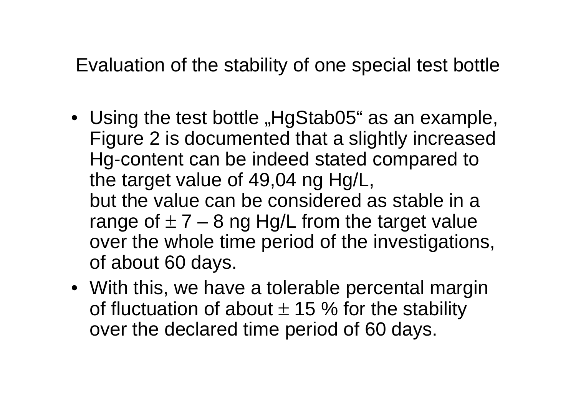Evaluation of the stability of one special test bottle

- Using the test bottle "HgStab05" as an example, Figure 2 is documented that a slightly increased Hg-content can be indeed stated compared to the target value of 49,04 ng Hg/L, but the value can be considered as stable in a range of  $\pm$  7 – 8 ng Hg/L from the target value over the whole time period of the investigations, of about 60 days.
- With this, we have a tolerable percental margin of fluctuation of about  $\pm$  15 % for the stability over the declared time period of 60 days.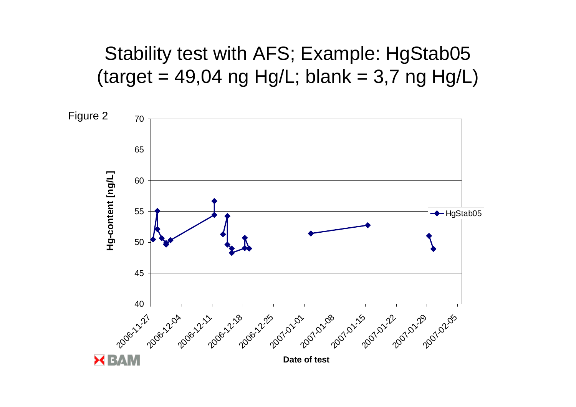### Stability test with AFS; Example: HgStab05 (target = 49,04 ng Hg/L; blank = 3,7 ng Hg/L)

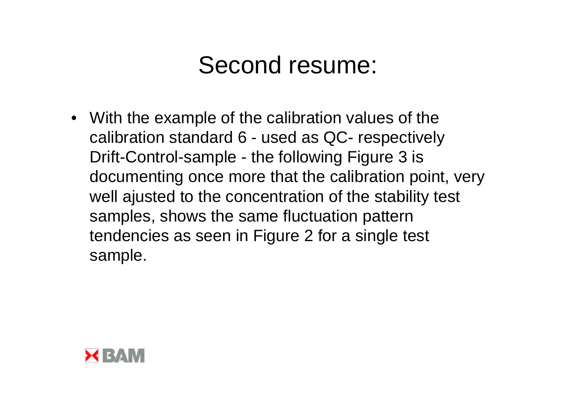## Second resume:

• With the example of the calibration values of the calibration standard 6 - used as QC- respectively Drift-Control-sample - the following Figure 3 is documenting once more that the calibration point, very well ajusted to the concentration of the stability test samples, shows the same fluctuation pattern tendencies as seen in Figure 2 for a single test sample.

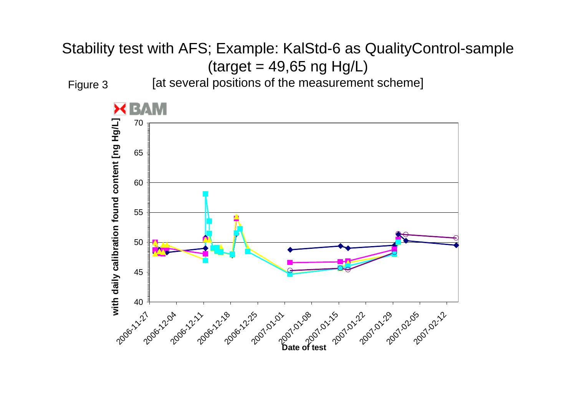### Stability test with AFS; Example: KalStd-6 as QualityControl-sample  $(target = 49,65 ng Hg/L)$ Figure 3

[at several positions of the measurement scheme]

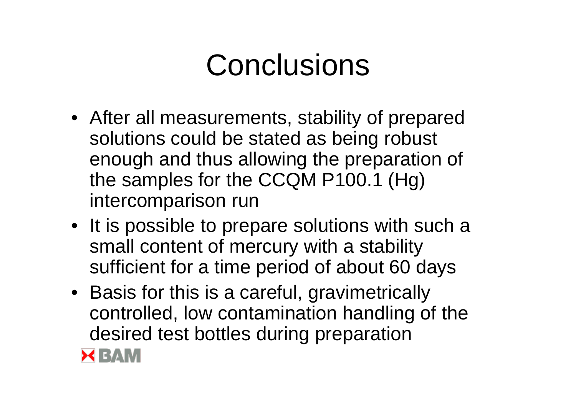# **Conclusions**

- After all measurements, stability of prepared solutions could be stated as being robust enough and thus allowing the preparation of the samples for the CCQM P100.1 (Hg) intercomparison run
- It is possible to prepare solutions with such a small content of mercury with a stability sufficient for a time period of about 60 days
- Basis for this is a careful, gravimetrically controlled, low contamination handling of the desired test bottles during preparation